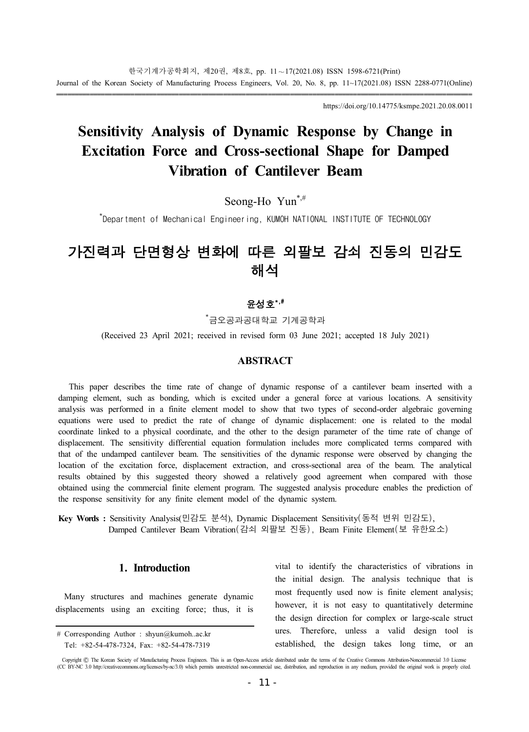https://doi.org/10.14775/ksmpe.2021.20.08.0011

# **Sensitivity Analysis of Dynamic Response by Change in Excitation Force and Cross-sectional Shape for Damped Vibration of Cantilever Beam**

Seong-Ho Yun\*,#

\* Department of Mechanical Engineering, KUMOH NATIONAL INSTITUTE OF TECHNOLOGY

# 가진력과 단면형상 변화에 따른 외팔보 감쇠 진동의 민감도 해석

# 윤성호\*,#

\*금오공과공대학교 기계공학과

(Received 23 April 2021; received in revised form 03 June 2021; accepted 18 July 2021)

#### **ABSTRACT**

This paper describes the time rate of change of dynamic response of a cantilever beam inserted with a damping element, such as bonding, which is excited under a general force at various locations. A sensitivity analysis was performed in a finite element model to show that two types of second-order algebraic governing equations were used to predict the rate of change of dynamic displacement: one is related to the modal coordinate linked to a physical coordinate, and the other to the design parameter of the time rate of change of displacement. The sensitivity differential equation formulation includes more complicated terms compared with that of the undamped cantilever beam. The sensitivities of the dynamic response were observed by changing the location of the excitation force, displacement extraction, and cross-sectional area of the beam. The analytical results obtained by this suggested theory showed a relatively good agreement when compared with those obtained using the commercial finite element program. The suggested analysis procedure enables the prediction of the response sensitivity for any finite element model of the dynamic system.

**Key Words :** Sensitivity Analysis(민감도 분석), Dynamic Displacement Sensitivity(동적 변위 민감도), Damped Cantilever Beam Vibration(감쇠 외팔보 진동), Beam Finite Element(보 유한요소)

## **1. Introduction**

Many structures and machines generate dynamic displacements using an exciting force; thus, it is vital to identify the characteristics of vibrations in the initial design. The analysis technique that is most frequently used now is finite element analysis; however, it is not easy to quantitatively determine the design direction for complex or large-scale struct ures. Therefore, unless a valid design tool is established, the design takes long time, or an

<sup>#</sup> Corresponding Author : shyun@kumoh..ac.kr Tel: +82-54-478-7324, Fax: +82-54-478-7319

Copyright C) The Korean Society of Manufacturing Process Engineers. This is an Open-Access article distributed under the terms of the Creative Commons Attribution-Noncommercial 3.0 License (CC BY-NC 3.0 http://creativecommons.org/licenses/by-nc/3.0) which permits unrestricted non-commercial use, distribution, and reproduction in any medium, provided the original work is properly cited.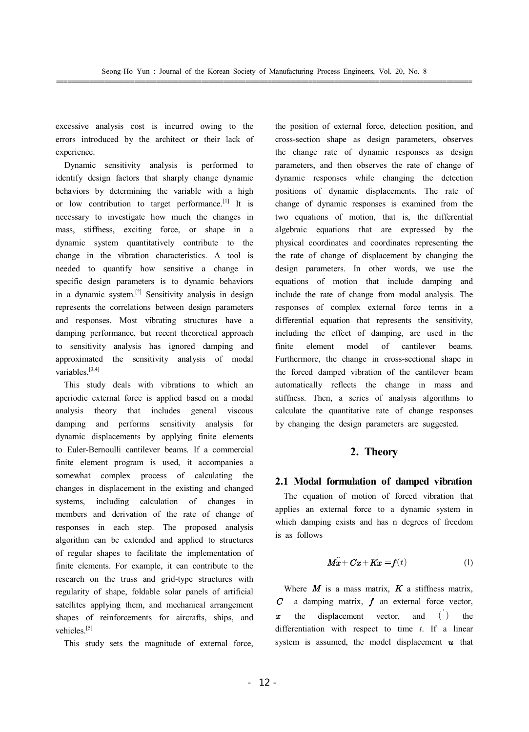excessive analysis cost is incurred owing to the errors introduced by the architect or their lack of experience.

Dynamic sensitivity analysis is performed to identify design factors that sharply change dynamic behaviors by determining the variable with a high or low contribution to target performance.[1] It is necessary to investigate how much the changes in mass, stiffness, exciting force, or shape in a dynamic system quantitatively contribute to the change in the vibration characteristics. A tool is needed to quantify how sensitive a change in specific design parameters is to dynamic behaviors in a dynamic system.<sup>[2]</sup> Sensitivity analysis in design represents the correlations between design parameters and responses. Most vibrating structures have a damping performance, but recent theoretical approach to sensitivity analysis has ignored damping and approximated the sensitivity analysis of modal variables.[3,4]

This study deals with vibrations to which an aperiodic external force is applied based on a modal analysis theory that includes general viscous damping and performs sensitivity analysis for dynamic displacements by applying finite elements to Euler-Bernoulli cantilever beams. If a commercial finite element program is used, it accompanies a somewhat complex process of calculating the changes in displacement in the existing and changed systems, including calculation of changes in members and derivation of the rate of change of responses in each step. The proposed analysis algorithm can be extended and applied to structures of regular shapes to facilitate the implementation of finite elements. For example, it can contribute to the research on the truss and grid-type structures with regularity of shape, foldable solar panels of artificial satellites applying them, and mechanical arrangement shapes of reinforcements for aircrafts, ships, and vehicles<sup>[5]</sup>

This study sets the magnitude of external force,

the position of external force, detection position, and cross-section shape as design parameters, observes the change rate of dynamic responses as design parameters, and then observes the rate of change of dynamic responses while changing the detection positions of dynamic displacements. The rate of change of dynamic responses is examined from the two equations of motion, that is, the differential algebraic equations that are expressed by the physical coordinates and coordinates representing the the rate of change of displacement by changing the design parameters. In other words, we use the equations of motion that include damping and include the rate of change from modal analysis. The responses of complex external force terms in a differential equation that represents the sensitivity, including the effect of damping, are used in the finite element model of cantilever beams. Furthermore, the change in cross-sectional shape in the forced damped vibration of the cantilever beam automatically reflects the change in mass and stiffness. Then, a series of analysis algorithms to calculate the quantitative rate of change responses by changing the design parameters are suggested.

### **2. Theory**

#### **2.1 Modal formulation of damped vibration**

 The equation of motion of forced vibration that applies an external force to a dynamic system in which damping exists and has n degrees of freedom is as follows

$$
\mathbf{M}\ddot{\mathbf{x}} + \mathbf{C}\mathbf{x} + \mathbf{K}\mathbf{x} = \mathbf{f}(t) \tag{1}
$$

Where  $M$  is a mass matrix,  $K$  a stiffness matrix,  $C$  a damping matrix,  $f$  an external force vector,  $x$  the displacement vector, and  $($ ) the differentiation with respect to time *t*. If a linear system is assumed, the model displacement  $\boldsymbol{u}$  that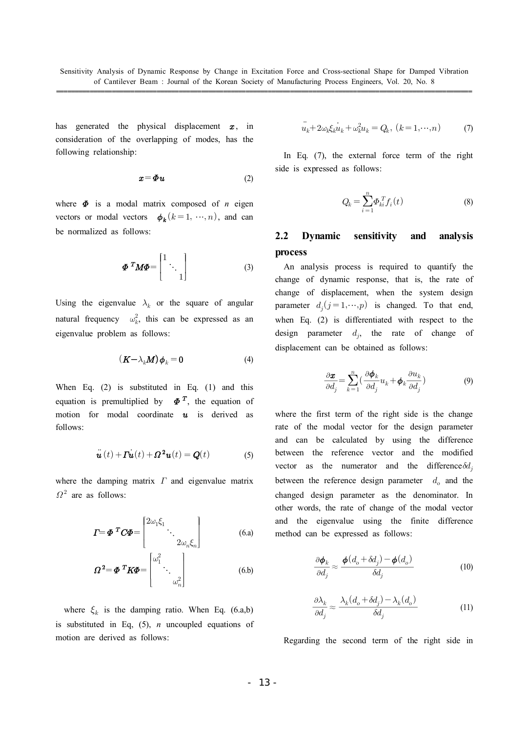has generated the physical displacement  $x$ , in consideration of the overlapping of modes, has the following relationship:

$$
x = \Phi u \tag{2}
$$

where  $\Phi$  is a modal matrix composed of *n* eigen vectors or modal vectors  $\phi_k$  ( $k=1, \dots, n$ ), and can be normalized as follows:

$$
\boldsymbol{\Phi}^T \boldsymbol{M} \boldsymbol{\Phi} = \begin{bmatrix} 1 & \cdot & 0 \\ 1 & \cdot & 0 \\ 0 & 1 & 0 \end{bmatrix} \tag{3}
$$

Using the eigenvalue  $\lambda_k$  or the square of angular natural frequency  $\omega_k^2$ , this can be expressed as an eigenvalue problem as follows:

$$
(\boldsymbol{K} - \lambda_k \boldsymbol{M}) \boldsymbol{\phi}_k = \mathbf{0} \tag{4}
$$

When Eq. (2) is substituted in Eq. (1) and this equation is premultiplied by  $\Phi^T$ , the equation of motion for modal coordinate  $\boldsymbol{u}$  is derived as follows:

$$
\ddot{\boldsymbol{u}}(t) + \boldsymbol{\Gamma} \dot{\boldsymbol{u}}(t) + \boldsymbol{\Omega}^2 \boldsymbol{u}(t) = \boldsymbol{Q}(t) \tag{5}
$$

where the damping matrix  $\Gamma$  and eigenvalue matrix  $\Omega^2$  are as follows:

$$
\boldsymbol{\varGamma} = \boldsymbol{\varPhi}^{\boldsymbol{\varGamma}} \boldsymbol{C} \boldsymbol{\varPhi} = \begin{bmatrix} 2\omega_1 \xi_1 & \cdots & \vdots \\ 2\omega_n \xi_n & \cdots & \vdots \end{bmatrix} \tag{6.1}
$$

$$
\boldsymbol{\Omega}^2 = \boldsymbol{\Phi}^T \boldsymbol{K} \boldsymbol{\Phi} = \begin{bmatrix} \omega_1^2 & & \\ & \ddots & \\ & & \omega_n^2 \end{bmatrix} \tag{6.5}
$$

where  $\xi_k$  is the damping ratio. When Eq. (6.a,b) is substituted in Eq, (5), *n* uncoupled equations of motion are derived as follows:

$$
\ddot{u}_k + 2\omega_k \xi_k \dot{u}_k + \omega_k^2 u_k = Q_k, \ (k = 1, \cdots, n)
$$
 (7)

 In Eq. (7), the external force term of the right side is expressed as follows:

$$
Q_k = \sum_{i=1}^n \Phi_{ki}^T f_i(t) \tag{8}
$$

# **2.2 Dynamic sensitivity and analysis process**

 An analysis process is required to quantify the change of dynamic response, that is, the rate of change of displacement, when the system design parameter  $d_j$  ( $j = 1, \dots, p$ ) is changed. To that end, when Eq. (2) is differentiated with respect to the design parameter  $d_j$ , the rate of change of displacement can be obtained as follows:

$$
\frac{\partial \boldsymbol{x}}{\partial d_j} = \sum_{k=1}^n \left( \frac{\partial \boldsymbol{\phi}_k}{\partial d_j} u_k + \boldsymbol{\phi}_k \frac{\partial u_k}{\partial d_j} \right)
$$
(9)

where the first term of the right side is the change rate of the modal vector for the design parameter and can be calculated by using the difference between the reference vector and the modified vector as the numerator and the difference  $\delta d_j$ between the reference design parameter  $d_o$  and the changed design parameter as the denominator. In other words, the rate of change of the modal vector and the eigenvalue using the finite difference method can be expressed as follows: the numerator and the reference design parameter as the s, the rate of change of the s, the rate of change of the repressed as follows:<br>
be expressed as follows:<br>  $\frac{\partial \phi_k}{\partial d_j} \approx \frac{\phi(d_o + \delta d_j) - \phi(d_o)}{\delta d_j}$ lesign parameter as the d<br>ls, the rate of change of th<br>eigenvalue using the fin<br>n be expressed as follows:<br> $\frac{\partial \phi_k}{\partial d_j} \approx \frac{\phi(d_o + \delta d_j) - \phi(d_o)}{\delta d_j}$ <br> $\frac{\partial \lambda_k}{\partial d_j} \approx \frac{\lambda_k(d_o + \delta d_j) - \lambda_k(d_o)}{\delta d_j}$ <br>g the second term of the

$$
\frac{\partial \boldsymbol{\phi}_k}{\partial d_j} \approx \frac{\boldsymbol{\phi}(d_o + \delta d_j) - \boldsymbol{\phi}(d_o)}{\delta d_j} \tag{10}
$$

$$
\frac{\partial \lambda_k}{\partial d_j} \approx \frac{\lambda_k (d_o + \delta d_j) - \lambda_k (d_o)}{\delta d_j} \tag{11}
$$

Regarding the second term of the right side in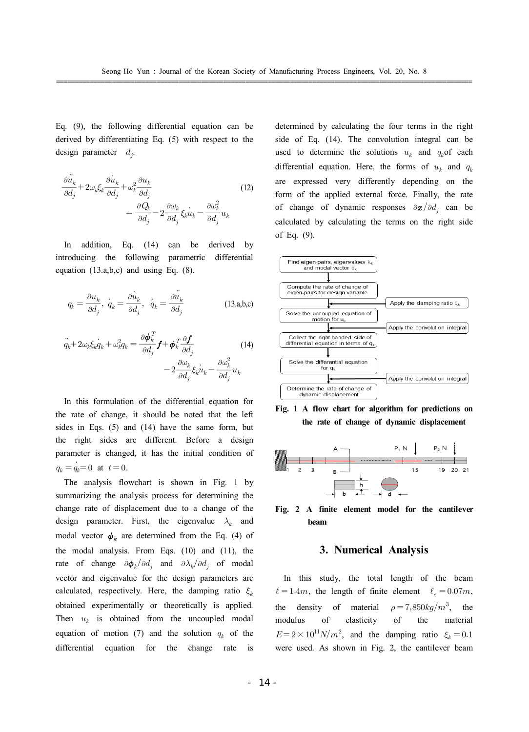Eq. (9), the following differential equation can be derived by differentiating Eq. (5) with respect to the design parameter  $d_j$ .

$$
\frac{\partial \ddot{u}_k}{\partial d_j} + 2\omega_k \xi_k \frac{\partial \dot{u}_k}{\partial d_j} + \omega_k^2 \frac{\partial u_k}{\partial d_j} \n= \frac{\partial Q_k}{\partial d_j} - 2 \frac{\partial \omega_k}{\partial d_j} \xi_k \dot{u}_k - \frac{\partial \omega_k^2}{\partial d_j} u_k
$$
\n(12)

 In addition, Eq. (14) can be derived by introducing the following parametric differential equation (13.a,b,c) and using Eq. (8).

$$
q_k = \frac{\partial u_k}{\partial d_j}, \quad \dot{q}_k = \frac{\partial u_k}{\partial d_j}, \quad \ddot{q}_k = \frac{\partial \ddot{u}_k}{\partial d_j}
$$
 (13.a,b,c)

$$
\ddot{q}_k + 2\omega_k \xi_k \dot{q}_k + \omega_k^2 q_k = \frac{\partial \phi_k^T}{\partial d_j} f + \phi_k^T \frac{\partial f}{\partial d_j} \n-2 \frac{\partial \omega_k}{\partial d_j} \xi_k \dot{u}_k - \frac{\partial \omega_k^2}{\partial d_j} u_k
$$
\n(14)

 In this formulation of the differential equation for the rate of change, it should be noted that the left sides in Eqs. (5) and (14) have the same form, but the right sides are different. Before a design parameter is changed, it has the initial condition of  $q_k = q_k = 0$  at  $t = 0$ .

 The analysis flowchart is shown in Fig. 1 by summarizing the analysis process for determining the change rate of displacement due to a change of the design parameter. First, the eigenvalue  $\lambda_k$  and modal vector  $\phi_k$  are determined from the Eq. (4) of the modal analysis. From Eqs. (10) and (11), the rate of change  $\partial \phi_k / \partial d_j$  and  $\partial \lambda_k / \partial d_j$  of modal vector and eigenvalue for the design parameters are calculated, respectively. Here, the damping ratio  $\xi_k$ obtained experimentally or theoretically is applied. Then  $u_k$  is obtained from the uncoupled modal equation of motion (7) and the solution  $q_k$  of the differential equation for the change rate is

determined by calculating the four terms in the right side of Eq. (14). The convolution integral can be used to determine the solutions  $u_k$  and  $q_k$  of each differential equation. Here, the forms of  $u_k$  and  $q_k$ are expressed very differently depending on the form of the applied external force. Finally, the rate of change of dynamic responses  $\partial \bm{x}/\partial d_j$  can be calculated by calculating the terms on the right side of Eq. (9).









#### **3. Numerical Analysis**

 In this study, the total length of the beam  $\ell = 1.4m$ , the length of finite element  $\ell_e = 0.07m$ , the density of material  $^3$ , the modulus of elasticity of the material  $E = 2 \times 10^{11} N/m^2$ , and the damping ratio  $\xi_k = 0.1$ were used. As shown in Fig. 2, the cantilever beam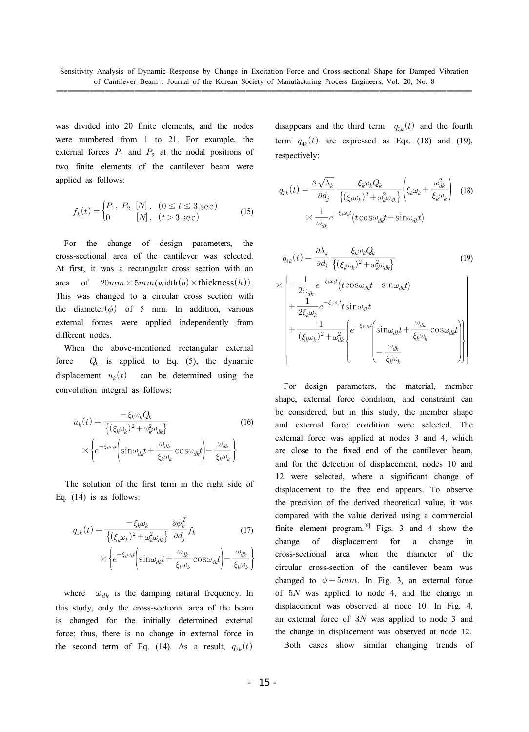was divided into 20 finite elements, and the nodes were numbered from 1 to 21. For example, the external forces  $P_1$  and  $P_2$  at the nodal positions of two finite elements of the cantilever beam were applied as follows:

$$
f_k(t) = \begin{cases} P_1, & P_2 \ [N], & (0 \le t \le 3 \text{ sec}) \\ 0 & [N], & (t > 3 \text{ sec}) \end{cases}
$$
 (15)

 For the change of design parameters, the cross-sectional area of the cantilever was selected. At first, it was a rectangular cross section with an area of  $20mm \times 5mm$  (width  $(b) \times$  thickness  $(h)$ ). This was changed to a circular cross section with the diameter  $(\phi)$  of 5 mm. In addition, various external forces were applied independently from different nodes.

 When the above-mentioned rectangular external force  $Q_k$  is applied to Eq. (5), the dynamic displacement  $u_k(t)$  can be determined using the convolution integral as follows: if nodes.<br>  $Q_k$  is applied to 1<br>
ment  $u_k(t)$  can be<br>
the above-mentioned  $Q_k$ <br>  $\text{Hence } u_k(t)$  can be<br>
the method of  $u_k(t) = \frac{-\xi_k \omega_k Q_k}{\left\{ (\xi_k \omega_k)^2 + \omega_k^2 \omega_{dk} \right\}}$ <br>  $\times \left\{ e^{-\xi_k \omega_k t} \right\} \sin \omega_n t + \frac{\omega_d}{\omega_k t}$ 

$$
u_k(t) = \frac{-\xi_k \omega_k Q_k}{\{( \xi_k \omega_k)^2 + \omega_k^2 \omega_{dk} \}}
$$
(16)  
\n
$$
\times \left\{ e^{-\xi_k \omega_k t} \left( \sin \omega_{dk} t + \frac{\omega_{dk}}{\xi_k \omega_k} \cos \omega_{dk} t \right) - \frac{\omega_{dk}}{\xi_k \omega_k} \right\}
$$
  
\nne solution of the first term in the right side of  
\n(14) is as follows:  
\n
$$
q_{1k}(t) = \frac{-\xi_k \omega_k}{\{( \xi_k \omega_k)^2 + \omega_k^2 \omega_{dk} \}} \frac{\partial \phi_k^T}{\partial d_j} f_k
$$
(17)  
\n
$$
\times \left\{ e^{-\xi_k \omega_k t} \left( \sin \omega_{kl} t + \frac{\omega_{dk}}{\omega_{dk}} \cos \omega_{kl} t \right) - \frac{\omega_{dk}}{\omega_{dk}} \right\}
$$

The solution of the first term in the right side of Eq. (14) is as follows:

$$
q_{1k}(t) = \frac{-\xi_k \omega_k}{\left\{ (\xi_k \omega_k)^2 + \omega_k^2 \omega_{dk} \right\}} \frac{\partial \phi_k^T}{\partial d_j} f_k \tag{17}
$$

$$
\times \left\{ e^{-\xi_k \omega_k t} \left( \sin \omega_{dk} t + \frac{\omega_{dk}}{\xi_k \omega_k} \cos \omega_{dk} t \right) - \frac{\omega_{dk}}{\xi_k \omega_k} \right\}
$$

where  $\omega_{\mu}$  is the damping natural frequency. In this study, only the cross-sectional area of the beam is changed for the initially determined external force; thus, there is no change in external force in the second term of Eq. (14). As a result,  $q_{2k}(t)$ 

disappears and the third term  $q_{3k}(t)$  and the fourth term  $q_{4k}(t)$  are expressed as Eqs. (18) and (19), respectively:

isappears and the third term 
$$
q_{3k}(t)
$$
 and the fourth  
\nerm  $q_{4k}(t)$  are expressed as Eqs. (18) and (19),  
\nrespectively:  
\n
$$
q_{3k}(t) = \frac{\partial \sqrt{\lambda_k}}{\partial d_j} \frac{\xi_k \omega_k Q_k}{\{(\xi_k \omega_k)^2 + \omega_k^2 \omega_{dk}\}} \left( \xi_k \omega_k + \frac{\omega_{dk}^2}{\xi_k \omega_k} \right)
$$
\n
$$
\times \frac{1}{\omega_{dk}} e^{-\xi_k \omega_k t} (t \cos \omega_{dk} t - \sin \omega_{dk} t)
$$
\n
$$
q_{4k}(t) = \frac{\partial \lambda_k}{\partial d_j} \frac{\xi_k \omega_k Q_k}{\{(\xi_k \omega_k)^2 + \omega_k^2 \omega_{dk}\}} \qquad (19)
$$
\n
$$
\times \left[ -\frac{1}{2} e^{-\xi_k \omega_k t} (t \cos \omega_{dk} t - \sin \omega_{dk} t) \right]
$$

$$
q_{4k}(t) = \frac{\partial \lambda_k}{\partial d_j} \frac{\xi_k \omega_k Q_k}{\{( \xi_k \omega_k)^2 + \omega_k^2 \omega_{dk} \}}
$$
(19)  
\n
$$
\times \left[ -\frac{1}{2\omega_{dk}} e^{-\xi_k \omega_k t} (t \cos \omega_{dk} t - \sin \omega_{dk} t) + \frac{1}{2\xi_k \omega_k} e^{-\xi_k \omega_k t} t \sin \omega_{dk} t + \frac{1}{(\xi_k \omega_k)^2 + \omega_{dk}^2} \left[ e^{-\xi_k \omega_k t} \left( \sin \omega_{dk} t + \frac{\omega_{dk}}{\xi_k \omega_k} \cos \omega_{dk} t \right) \right] - \frac{\omega_{dk}}{\xi_k \omega_k}
$$

 circular cross-section of the cantilever beam was was not all the set of the set of the set of the set of the set of the set of the set of the set of the set of the set of the set of the set of the set of the set of the set of the set of the set of the set of the set of t For design parameters, the material, member shape, external force condition, and constraint can be considered, but in this study, the member shape and external force condition were selected. The external force was applied at nodes 3 and 4, which are close to the fixed end of the cantilever beam, and for the detection of displacement, nodes 10 and 12 were selected, where a significant change of displacement to the free end appears. To observe the precision of the derived theoretical value, it was compared with the value derived using a commercial finite element program. $[6]$  Figs. 3 and 4 show the change of displacement for a change in cross-sectional area when the diameter of the changed to  $\phi = 5mm$ . In Fig. 3, an external force of  $5N$  was applied to node 4, and the change in displacement was observed at node 10. In Fig. 4, an external force of  $3N$  was applied to node 3 and the change in displacement was observed at node 12.

Both cases show similar changing trends of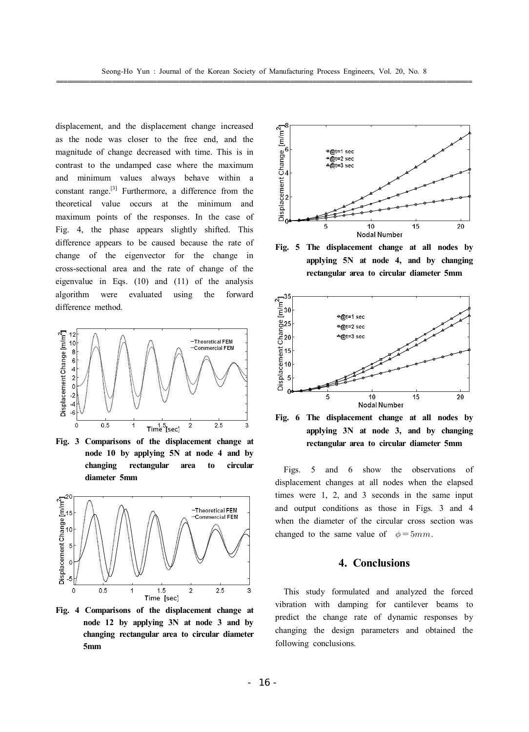displacement, and the displacement change increased as the node was closer to the free end, and the magnitude of change decreased with time. This is in contrast to the undamped case where the maximum and minimum values always behave within a constant range. $[3]$  Furthermore, a difference from the theoretical value occurs at the minimum and maximum points of the responses. In the case of Fig. 4, the phase appears slightly shifted. This difference appears to be caused because the rate of change of the eigenvector for the change in cross-sectional area and the rate of change of the eigenvalue in Eqs. (10) and (11) of the analysis algorithm were evaluated using the forward difference method.



**Fig. 3 Comparisons of the displacement change at node 10 by applying 5N at node 4 and by changing rectangular area to circular diameter 5mm**



**Fig. 4 Comparisons of the displacement change at node 12 by applying 3N at node 3 and by changing rectangular area to circular diameter 5mm**



**Fig. 5 The displacement change at all nodes by applying 5N at node 4, and by changing rectangular area to circular diameter 5mm**



**Fig. 6 The displacement change at all nodes by applying 3N at node 3, and by changing rectangular area to circular diameter 5mm**

 Figs. 5 and 6 show the observations of displacement changes at all nodes when the elapsed times were 1, 2, and 3 seconds in the same input and output conditions as those in Figs. 3 and 4 when the diameter of the circular cross section was changed to the same value of  $\phi = 5mm$ .

#### **4. Conclusions**

 This study formulated and analyzed the forced vibration with damping for cantilever beams to predict the change rate of dynamic responses by changing the design parameters and obtained the following conclusions.